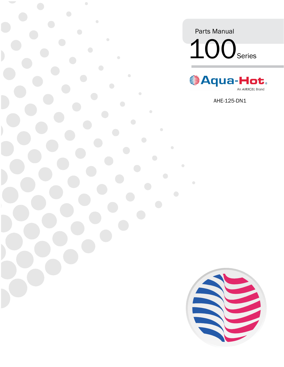Parts Manual 100Series

 $\bullet$ 



AHE-125-DN1

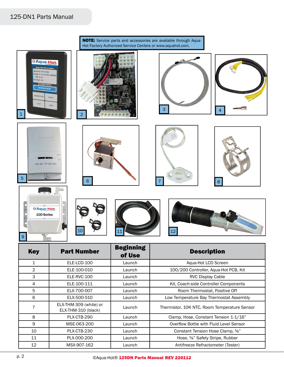## 125-DN1 Parts Manual



8 PLX-CTB-290 | Launch | Clamp, Hose, Constant Tension 1-1/16" 9 | MSE-063-200 | Launch | Overflow Bottle with Fluid Level Sensor 10 PLX-CTB-230 | Launch Constant Tension Hose Clamp,  $\frac{5}{8}$ " 11 | PLX-000-200 | Launch | Hose, <sup>5</sup>/<sub>8</sub>" Safety Stripe, Rubber 12 MSX-907-162 Launch Antifreeze Refractometer (Tester)

EX-THM-309 (WIRE) OF Launch | Thermistor, 10K NTC, Room Temperature Sensor |

7

ELX-THM-309 (white) or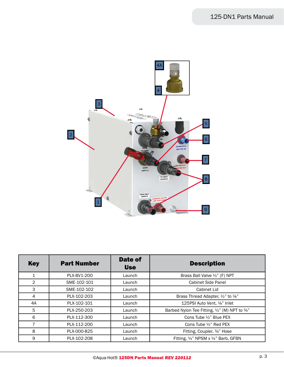

| <b>Key</b>     | <b>Part Number</b> | <b>Date of</b><br><b>Use</b> | <b>Description</b>                             |
|----------------|--------------------|------------------------------|------------------------------------------------|
| 1              | PLX-BV1-200        | Launch                       | Brass Ball Valve 1/2" (F) NPT                  |
| $\overline{2}$ | SME-102-101        | Launch                       | <b>Cabinet Side Panel</b>                      |
| 3              | SME-102-102        | Launch                       | Cabinet Lid                                    |
| 4              | PLX-102-203        | Launch                       | Brass Thread Adapter, 1/2" to 1/8"             |
| 4A             | PLX-102-101        | Launch                       | 125PSI Auto Vent, 1/8" Inlet                   |
| 5              | PLX-250-203        | Launch                       | Barbed Nylon Tee Fitting, 1/2" (M) NPT to 3/4" |
| 6              | PLX-112-300        | Launch                       | Cons Tube 1/2" Blue PEX                        |
| 7              | PLX-112-200        | Launch                       | Cons Tube 1/2" Red PEX                         |
| 8              | PLX-000-825        | Launch                       | Fitting, Coupler, 3/4" Hose                    |
| 9              | PLX-102-208        | Launch                       | Fitting, 1/4" NPSM x 1/4" Barb, GFBN           |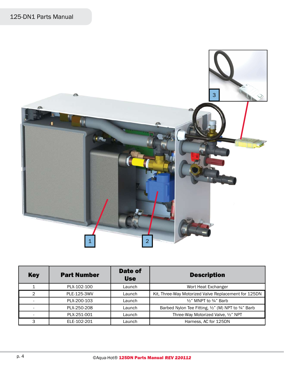

| <b>Key</b> | <b>Part Number</b> | Date of<br><b>Use</b> | <b>Description</b>                                   |
|------------|--------------------|-----------------------|------------------------------------------------------|
|            | PLX-102-100        | Launch                | Wort Heat Exchanger                                  |
| 2          | PLE-125-3WV        | Launch                | Kit, Three-Way Motorized Valve Replacement for 125DN |
|            | PLX-200-103        | Launch                | $\frac{1}{2}$ " MNPT to $\frac{3}{4}$ " Barb         |
|            | PLX-250-208        | Launch                | Barbed Nylon Tee Fitting, 1/2" (M) NPT to 3/4" Barb  |
|            | PLX-251-001        | Launch                | Three-Way Motorized Valve, 1/2" NPT                  |
| 3          | ELE-102-201        | Launch                | Harness, AC for 125DN                                |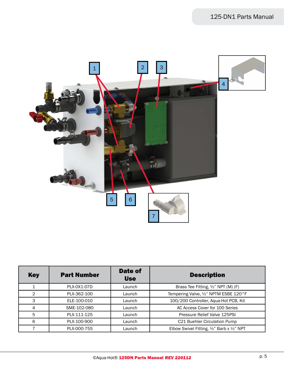

| <b>Key</b> | <b>Part Number</b> | Date of<br><b>Use</b> | <b>Description</b>                         |
|------------|--------------------|-----------------------|--------------------------------------------|
|            | PLX-0X1-07D        | Launch                | Brass Tee Fitting, 1/2" NPT (M) (F)        |
| 2          | PLX-362-100        | Launch                | Tempering Valve, 1/2" NPTM ESBE 120°F      |
| 3          | ELE-100-010        | Launch                | 100/200 Controller, Aqua-Hot PCB, Kit      |
| 4          | SME-102-080        | Launch                | AC Access Cover for 100 Series             |
| 5          | PLX-111-125        | Launch                | Pressure Relief Valve 125PSI               |
| 6          | PLX-100-900        | Launch                | C21 Buehler Circulation Pump               |
|            | PLX-000-755        | Launch                | Elbow Swivel Fitting, 1/2" Barb x 1/2" NPT |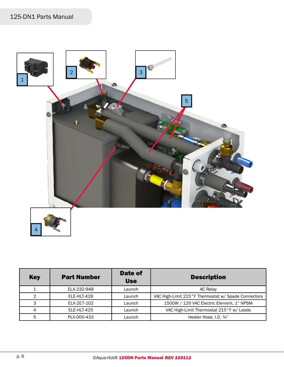

| <b>Key</b> | <b>Part Number</b> | Date of<br><b>Use</b> | <b>Description</b>                                  |
|------------|--------------------|-----------------------|-----------------------------------------------------|
|            | ELX-232-948        | Launch                | <b>AC Relay</b>                                     |
| 2          | ELE-HLT-426        | Launch                | VAC High-Limit 215°F Thermostat w/ Spade Connectors |
| 3          | ELX-2E7-102        | Launch                | 1500W / 120 VAC Electric Element, 1" NPSM           |
| 4          | ELE-HLT-425        | Launch                | VAC High-Limit Thermostat 215°F w/ Leads            |
| 5          | PLX-000-433        | Launch                | Heater Hose, I.D. 3/4"                              |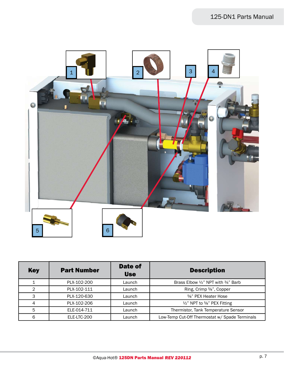

| <b>Key</b>    | <b>Part Number</b> | Date of<br><b>Use</b> | <b>Description</b>                                        |
|---------------|--------------------|-----------------------|-----------------------------------------------------------|
|               | PLX-102-200        | Launch                | Brass Elbow $\frac{1}{2}$ " NPT with $\frac{3}{4}$ " Barb |
| $\mathcal{P}$ | PLX-102-111        | Launch                | Ring, Crimp 5/8", Copper                                  |
| 3             | PLX-120-630        | Launch                | 5%" PEX Heater Hose                                       |
| 4             | PLX-102-206        | Launch                | 1/2" NPT to 5/8" PEX Fitting                              |
| 5             | ELE-014-711        | Launch                | Thermistor, Tank Temperature Sensor                       |
| 6             | ELE-LTC-200        | Launch                | Low-Temp Cut-Off Thermostat w/ Spade Terminals            |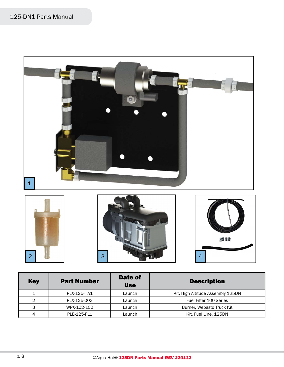

| <b>Key</b> | <b>Part Number</b> | Date of<br><b>Use</b> | <b>Description</b>                |
|------------|--------------------|-----------------------|-----------------------------------|
|            | PLX-125-HA1        | Launch                | Kit, High Altitude Assembly 125DN |
| 2          | PLX-125-003        | Launch                | Fuel Filter 100 Series            |
| 3          | WPX-102-100        | Launch                | Burner, Webasto Truck Kit         |
| 4          | PLE-125-FL1        | Launch                | Kit, Fuel Line, 125DN             |

3

2 4 3 3 4